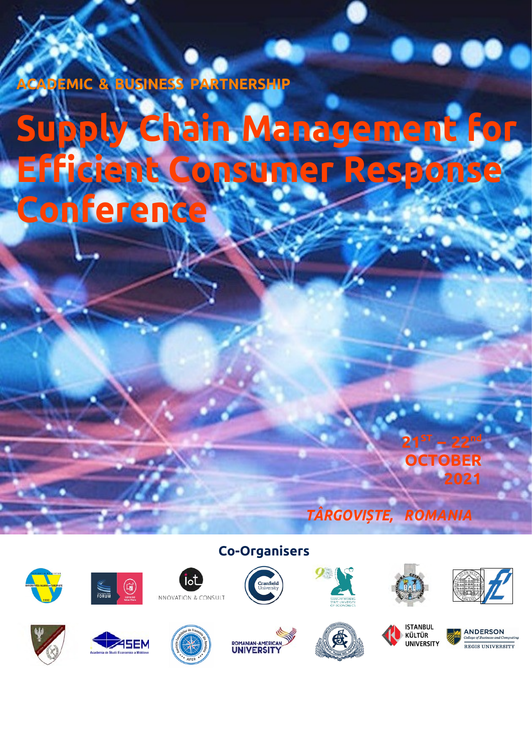## **ACADEMIC & BUSINESS PARTNERSHIP**

# **Supply Chain Management for Efficient Consumer Response Conference**

*TÂRGOVIȘTE, ROMANIA*













lot



**Co-Organisers**





KÜLTÜR

UNIVERSITY

**21ST**

**– 22nd**

**2021**

**OCTOBER**



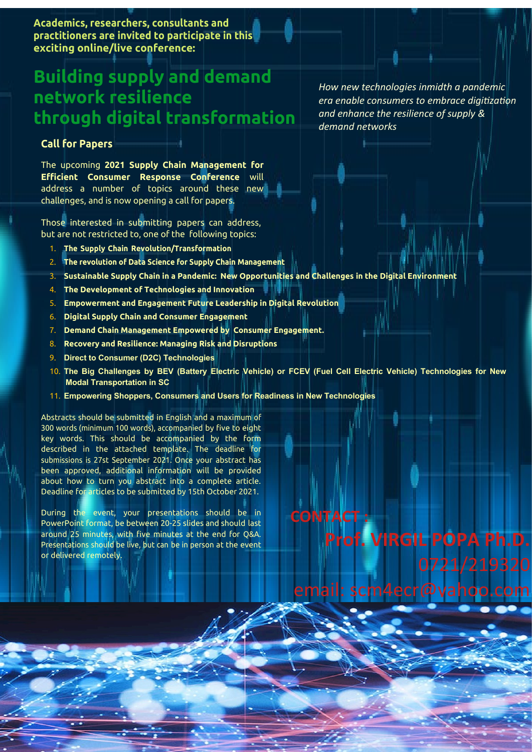**Academics, researchers, consultants and practitioners are invited to participate in this exciting online/live conference:**

## **Building supply and demand network resilience through digital transformation**

#### **Call for Papers**

The upcoming **2021 Supply Chain Management for Efficient Consumer Response Conference** will address a number of topics around these new challenges, and is now opening a call for papers.

Those interested in submitting papers can address, but are not restricted to, one of the following topics:

- 1. **The Supply Chain Revolution/Transformation**
- 2. **The revolution of Data Science for Supply Chain Management**
- 3. **Sustainable Supply Chain in a Pandemic: New Opportunities and Challenges in the Digital Environment**
- 4. **The Development of Technologies and Innovation**
- 5. **Empowerment and Engagement Future Leadership in Digital Revolution**
- 6. **Digital Supply Chain and Consumer Engagement**
- 7. **Demand Chain Management Empowered by Consumer Engagement.**
- 8. **Recovery and Resilience: Managing Risk and Disruptions**
- 9. **Direct to Consumer (D2C) Technologies**
- 10. **The Big Challenges by BEV (Battery Electric Vehicle) or FCEV (Fuel Cell Electric Vehicle) Technologies for New Modal Transportation in SC**

**CONTACT :**

11. **Empowering Shoppers, Consumers and Users for Readiness in New Technologies**

Abstracts should be submitted in English and a maximum of 300 words (minimum 100 words), accompanied by five to eight key words. This should be accompanied by the form described in the attached template. The deadline for submissions is 27st September 2021. Once your abstract has been approved, additional information will be provided about how to turn you abstract into a complete article. Deadline for articles to be submitted by 15th October 2021.

During the event, your presentations should be in PowerPoint format, be between 20-25 slides and should last around 25 minutes, with five minutes at the end for Q&A. Presentations should be live, but can be in person at the event or delivered remotely.

*How new technologies inmidth a pandemic era enable consumers to embrace digitization and enhance the resilience of supply & demand networks*

**Prof. VIRGIL POPA Ph.D.**

email: [scm4ecr@yahoo.com](mailto:scm4ecr@yahoo.com)

0721/219320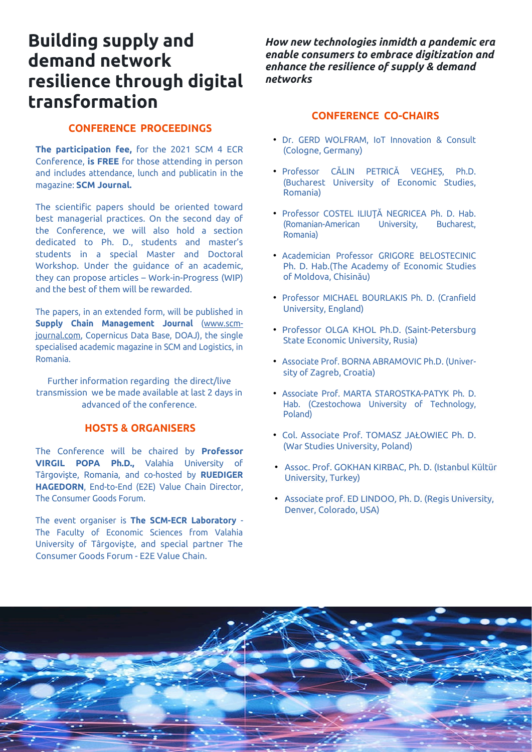## **Building supply and demand network resilience through digital transformation**

#### **CONFERENCE PROCEEDINGS**

**The participation fee,** for the 2021 SCM 4 ECR Conference, **is FREE** for those attending in person and includes attendance, lunch and publicatin in the magazine: **SCM Journal.**

The scientific papers should be oriented toward best managerial practices. On the second day of the Conference, we will also hold a section dedicated to Ph. D., students and master's students in a special Master and Doctoral Workshop. Under the guidance of an academic, they can propose articles – Work-in-Progress (WIP) and the best of them will be rewarded.

The papers, in an extended form, will be published in **Supply Chain Management Journal** [\(www.scm](http://www.scm-journal.com/)[journal.com](http://www.scm-journal.com/), Copernicus Data Base, DOAJ), the single specialised academic magazine in SCM and Logistics, in Romania.

Further information regarding the direct/live transmission we be made available at last 2 days in advanced of the conference.

#### **HOSTS & ORGANISERS**

The Conference will be chaired by **Professor VIRGIL POPA Ph.D.,** Valahia University of Târgovişte, Romania, and co-hosted by **RUEDIGER HAGEDORN**, End-to-End (E2E) Value Chain Director, The Consumer Goods Forum.

The event organiser is **The SCM-ECR Laboratory** - The Faculty of Economic Sciences from Valahia University of Târgovişte, and special partner The Consumer Goods Forum - E2E Value Chain.

*How new technologies inmidth a pandemic era enable consumers to embrace digitization and enhance the resilience of supply & demand networks*

#### **CONFERENCE CO-CHAIRS**

- Dr. GERD WOLFRAM, IoT Innovation & Consult (Cologne, Germany)
- Professor CĂLIN PETRICĂ VEGHEȘ, Ph.D. (Bucharest University of Economic Studies, Romania)
- Professor COSTEL ILIUŢĂ NEGRICEA Ph. D. Hab. (Romanian-American University, Bucharest, Romania)
- Academician Professor GRIGORE BELOSTECINIC Ph. D. Hab.(The Academy of Economic Studies of Moldova, Chisinău)
- Professor MICHAEL BOURLAKIS Ph. D. (Cranfield University, England)
- Professor OLGA KHOL Ph.D. (Saint-Petersburg State Economic University, Rusia)
- Associate Prof. BORNA ABRAMOVIC Ph.D. (University of Zagreb, Croatia)
- Associate Prof. MARTA STAROSTKA-PATYK Ph. D. Hab. (Czestochowa University of Technology, Poland)
- Col. Associate Prof. TOMASZ JAŁOWIEC Ph. D. (War Studies University, Poland)
- Assoc. Prof. GOKHAN KIRBAC, Ph. D. (Istanbul Kültür University, Turkey)
- Associate prof. ED LINDOO*,* Ph. D. (Regis University, Denver, Colorado, USA)